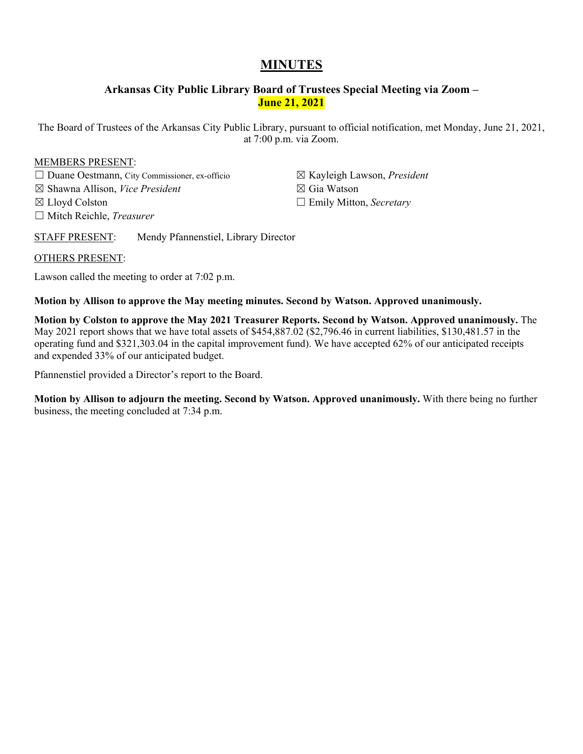# **MINUTES**

# **Arkansas City Public Library Board of Trustees Special Meeting via Zoom – June 21, 2021**

The Board of Trustees of the Arkansas City Public Library, pursuant to official notification, met Monday, June 21, 2021, at 7:00 p.m. via Zoom.

# MEMBERS PRESENT:

- ☐ Duane Oestmann, City Commissioner, ex-officio
- ☒ Shawna Allison, *Vice President*
- ☒ Lloyd Colston
- ☐ Mitch Reichle, *Treasurer*
- ☒ Kayleigh Lawson, *President*
- ☒ Gia Watson
- ☐ Emily Mitton, *Secretary*
- STAFF PRESENT: Mendy Pfannenstiel, Library Director

# OTHERS PRESENT:

Lawson called the meeting to order at 7:02 p.m.

# **Motion by Allison to approve the May meeting minutes. Second by Watson. Approved unanimously.**

**Motion by Colston to approve the May 2021 Treasurer Reports. Second by Watson. Approved unanimously.** The May 2021 report shows that we have total assets of \$454,887.02 (\$2,796.46 in current liabilities, \$130,481.57 in the operating fund and \$321,303.04 in the capital improvement fund). We have accepted 62% of our anticipated receipts and expended 33% of our anticipated budget.

Pfannenstiel provided a Director's report to the Board.

**Motion by Allison to adjourn the meeting. Second by Watson. Approved unanimously.** With there being no further business, the meeting concluded at 7:34 p.m.